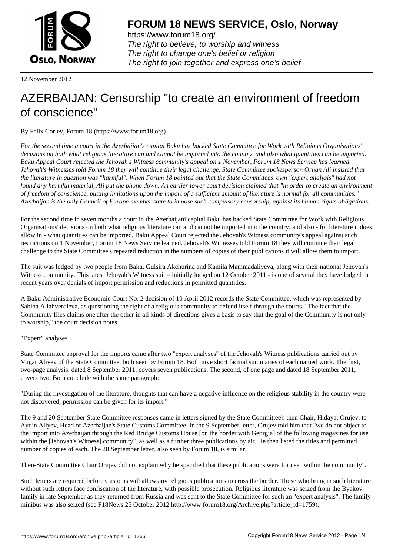

https://www.forum18.org/ The right to believe, to worship and witness The right to change one's belief or religion [The right to join together a](https://www.forum18.org/)nd express one's belief

12 November 2012

## [AZERBAIJAN: C](https://www.forum18.org)ensorship "to create an environment of freedom of conscience"

By Felix Corley, Forum 18 (https://www.forum18.org)

*For the second time a court in the Azerbaijan's capital Baku has backed State Committee for Work with Religious Organisations' decisions on both what religious literature can and cannot be imported into the country, and also what quantities can be imported. Baku Appeal Court rejected the Jehovah's Witness community's appeal on 1 November, Forum 18 News Service has learned. Jehovah's Witnesses told Forum 18 they will continue their legal challenge. State Committee spokesperson Orhan Ali insisted that the literature in question was "harmful". When Forum 18 pointed out that the State Committees' own "expert analysis" had not found any harmful material, Ali put the phone down. An earlier lower court decision claimed that "in order to create an environment of freedom of conscience, putting limitations upon the import of a sufficient amount of literature is normal for all communities." Azerbaijan is the only Council of Europe member state to impose such compulsory censorship, against its human rights obligations.*

For the second time in seven months a court in the Azerbaijani capital Baku has backed State Committee for Work with Religious Organisations' decisions on both what religious literature can and cannot be imported into the country, and also - for literature it does allow in - what quantities can be imported. Baku Appeal Court rejected the Jehovah's Witness community's appeal against such restrictions on 1 November, Forum 18 News Service learned. Jehovah's Witnesses told Forum 18 they will continue their legal challenge to the State Committee's repeated reduction in the numbers of copies of their publications it will allow them to import.

The suit was lodged by two people from Baku, Gulsira Akchurina and Kamila Mammadaliyeva, along with their national Jehovah's Witness community. This latest Jehovah's Witness suit – initially lodged on 12 October 2011 - is one of several they have lodged in recent years over denials of import permission and reductions in permitted quantities.

A Baku Administrative Economic Court No. 2 decision of 10 April 2012 records the State Committee, which was represented by Sabina Allahverdieva, as questioning the right of a religious community to defend itself through the courts. "The fact that the Community files claims one after the other in all kinds of directions gives a basis to say that the goal of the Community is not only to worship," the court decision notes.

## "Expert" analyses

State Committee approval for the imports came after two "expert analyses" of the Jehovah's Witness publications carried out by Vugar Aliyev of the State Committee, both seen by Forum 18. Both give short factual summaries of each named work. The first, two-page analysis, dated 8 September 2011, covers seven publications. The second, of one page and dated 18 September 2011, covers two. Both conclude with the same paragraph:

"During the investigation of the literature, thoughts that can have a negative influence on the religious stability in the country were not discovered; permission can be given for its import."

The 9 and 20 September State Committee responses came in letters signed by the State Committee's then Chair, Hidayat Orujev, to Aydin Aliyev, Head of Azerbaijan's State Customs Committee. In the 9 September letter, Orujev told him that "we do not object to the import into Azerbaijan through the Red Bridge Customs House [on the border with Georgia] of the following magazines for use within the [Jehovah's Witness] community", as well as a further three publications by air. He then listed the titles and permitted number of copies of each. The 20 September letter, also seen by Forum 18, is similar.

Then-State Committee Chair Orujev did not explain why he specified that these publications were for use "within the community".

Such letters are required before Customs will allow any religious publications to cross the border. Those who bring in such literature without such letters face confiscation of the literature, with possible prosecution. Religious literature was seized from the Byakov family in late September as they returned from Russia and was sent to the State Committee for such an "expert analysis". The family minibus was also seized (see F18News 25 October 2012 http://www.forum18.org/Archive.php?article\_id=1759).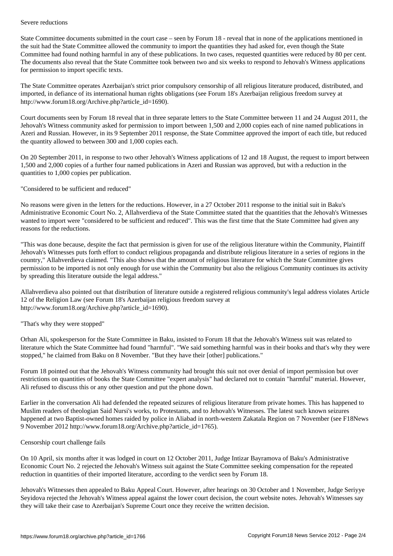State Committee documents submitted in the court case – seen by Forum 18 - reveal that in none of the applications mentioned in the suit had the State Committee allowed the community to import the quantities they had asked for, even though the State Committee had found nothing harmful in any of these publications. In two cases, requested quantities were reduced by 80 per cent. The documents also reveal that the State Committee took between two and six weeks to respond to Jehovah's Witness applications for permission to import specific texts.

The State Committee operates Azerbaijan's strict prior compulsory censorship of all religious literature produced, distributed, and imported, in defiance of its international human rights obligations (see Forum 18's Azerbaijan religious freedom survey at http://www.forum18.org/Archive.php?article\_id=1690).

Court documents seen by Forum 18 reveal that in three separate letters to the State Committee between 11 and 24 August 2011, the Jehovah's Witness community asked for permission to import between 1,500 and 2,000 copies each of nine named publications in Azeri and Russian. However, in its 9 September 2011 response, the State Committee approved the import of each title, but reduced the quantity allowed to between 300 and 1,000 copies each.

On 20 September 2011, in response to two other Jehovah's Witness applications of 12 and 18 August, the request to import between 1,500 and 2,000 copies of a further four named publications in Azeri and Russian was approved, but with a reduction in the quantities to 1,000 copies per publication.

"Considered to be sufficient and reduced"

No reasons were given in the letters for the reductions. However, in a 27 October 2011 response to the initial suit in Baku's Administrative Economic Court No. 2, Allahverdieva of the State Committee stated that the quantities that the Jehovah's Witnesses wanted to import were "considered to be sufficient and reduced". This was the first time that the State Committee had given any reasons for the reductions.

"This was done because, despite the fact that permission is given for use of the religious literature within the Community, Plaintiff Jehovah's Witnesses puts forth effort to conduct religious propaganda and distribute religious literature in a series of regions in the country," Allahverdieva claimed. "This also shows that the amount of religious literature for which the State Committee gives permission to be imported is not only enough for use within the Community but also the religious Community continues its activity by spreading this literature outside the legal address."

Allahverdieva also pointed out that distribution of literature outside a registered religious community's legal address violates Article 12 of the Religion Law (see Forum 18's Azerbaijan religious freedom survey at http://www.forum18.org/Archive.php?article\_id=1690).

"That's why they were stopped"

Orhan Ali, spokesperson for the State Committee in Baku, insisted to Forum 18 that the Jehovah's Witness suit was related to literature which the State Committee had found "harmful". "We said something harmful was in their books and that's why they were stopped," he claimed from Baku on 8 November. "But they have their [other] publications."

Forum 18 pointed out that the Jehovah's Witness community had brought this suit not over denial of import permission but over restrictions on quantities of books the State Committee "expert analysis" had declared not to contain "harmful" material. However, Ali refused to discuss this or any other question and put the phone down.

Earlier in the conversation Ali had defended the repeated seizures of religious literature from private homes. This has happened to Muslim readers of theologian Said Nursi's works, to Protestants, and to Jehovah's Witnesses. The latest such known seizures happened at two Baptist-owned homes raided by police in Aliabad in north-western Zakatala Region on 7 November (see F18News 9 November 2012 http://www.forum18.org/Archive.php?article\_id=1765).

## Censorship court challenge fails

On 10 April, six months after it was lodged in court on 12 October 2011, Judge Intizar Bayramova of Baku's Administrative Economic Court No. 2 rejected the Jehovah's Witness suit against the State Committee seeking compensation for the repeated reduction in quantities of their imported literature, according to the verdict seen by Forum 18.

Jehovah's Witnesses then appealed to Baku Appeal Court. However, after hearings on 30 October and 1 November, Judge Seriyye Seyidova rejected the Jehovah's Witness appeal against the lower court decision, the court website notes. Jehovah's Witnesses say they will take their case to Azerbaijan's Supreme Court once they receive the written decision.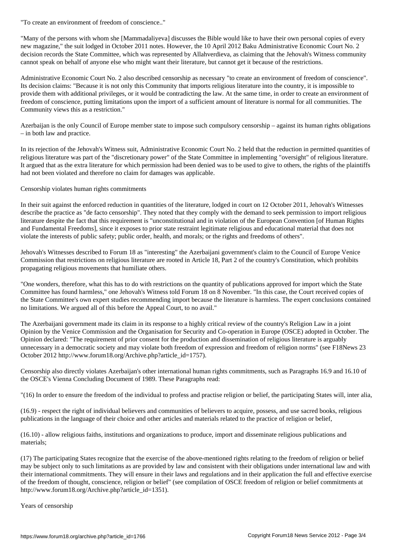"Many of the persons with whom she [Mammadaliyeva] discusses the Bible would like to have their own personal copies of every new magazine," the suit lodged in October 2011 notes. However, the 10 April 2012 Baku Administrative Economic Court No. 2 decision records the State Committee, which was represented by Allahverdieva, as claiming that the Jehovah's Witness community cannot speak on behalf of anyone else who might want their literature, but cannot get it because of the restrictions.

Administrative Economic Court No. 2 also described censorship as necessary "to create an environment of freedom of conscience". Its decision claims: "Because it is not only this Community that imports religious literature into the country, it is impossible to provide them with additional privileges, or it would be contradicting the law. At the same time, in order to create an environment of freedom of conscience, putting limitations upon the import of a sufficient amount of literature is normal for all communities. The Community views this as a restriction."

Azerbaijan is the only Council of Europe member state to impose such compulsory censorship – against its human rights obligations – in both law and practice.

In its rejection of the Jehovah's Witness suit, Administrative Economic Court No. 2 held that the reduction in permitted quantities of religious literature was part of the "discretionary power" of the State Committee in implementing "oversight" of religious literature. It argued that as the extra literature for which permission had been denied was to be used to give to others, the rights of the plaintiffs had not been violated and therefore no claim for damages was applicable.

Censorship violates human rights commitments

In their suit against the enforced reduction in quantities of the literature, lodged in court on 12 October 2011, Jehovah's Witnesses describe the practice as "de facto censorship". They noted that they comply with the demand to seek permission to import religious literature despite the fact that this requirement is "unconstitutional and in violation of the European Convention [of Human Rights and Fundamental Freedoms], since it exposes to prior state restraint legitimate religious and educational material that does not violate the interests of public safety; public order, health, and morals; or the rights and freedoms of others".

Jehovah's Witnesses described to Forum 18 as "interesting" the Azerbaijani government's claim to the Council of Europe Venice Commission that restrictions on religious literature are rooted in Article 18, Part 2 of the country's Constitution, which prohibits propagating religious movements that humiliate others.

"One wonders, therefore, what this has to do with restrictions on the quantity of publications approved for import which the State Committee has found harmless," one Jehovah's Witness told Forum 18 on 8 November. "In this case, the Court received copies of the State Committee's own expert studies recommending import because the literature is harmless. The expert conclusions contained no limitations. We argued all of this before the Appeal Court, to no avail."

The Azerbaijani government made its claim in its response to a highly critical review of the country's Religion Law in a joint Opinion by the Venice Commission and the Organisation for Security and Co-operation in Europe (OSCE) adopted in October. The Opinion declared: "The requirement of prior consent for the production and dissemination of religious literature is arguably unnecessary in a democratic society and may violate both freedom of expression and freedom of religion norms" (see F18News 23 October 2012 http://www.forum18.org/Archive.php?article\_id=1757).

Censorship also directly violates Azerbaijan's other international human rights commitments, such as Paragraphs 16.9 and 16.10 of the OSCE's Vienna Concluding Document of 1989. These Paragraphs read:

"(16) In order to ensure the freedom of the individual to profess and practise religion or belief, the participating States will, inter alia,

(16.9) - respect the right of individual believers and communities of believers to acquire, possess, and use sacred books, religious publications in the language of their choice and other articles and materials related to the practice of religion or belief,

(16.10) - allow religious faiths, institutions and organizations to produce, import and disseminate religious publications and materials;

(17) The participating States recognize that the exercise of the above-mentioned rights relating to the freedom of religion or belief may be subject only to such limitations as are provided by law and consistent with their obligations under international law and with their international commitments. They will ensure in their laws and regulations and in their application the full and effective exercise of the freedom of thought, conscience, religion or belief" (see compilation of OSCE freedom of religion or belief commitments at http://www.forum18.org/Archive.php?article\_id=1351).

Years of censorship